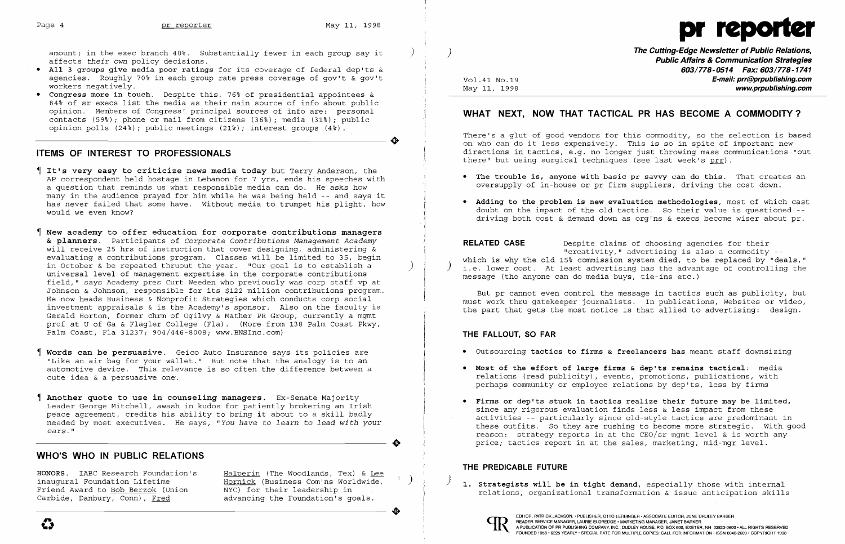**•** 

**•** 



amount; in the exec branch 40%. Substantially fewer in each group say it affects *their* own policy decisions.

- • All 3 groups give media poor ratings for its coverage of federal dep'ts & agencies. Roughly 70% in each group rate press coverage of gov't & gov't workers negatively.
- • Congress more in touch. Despite this, 76% of presidential appointees & 84% of sr execs list the media as their main source of info about public opinion. Members of Congress' principal sources of info are: personal contacts (59%); phone or mail from citizens (36%); media (31%); public opinion polls (24%); public meetings (21%); interest groups (4%).

## **ITEMS OF INTEREST TO PROFESSIONALS**

There's a glut of good vendors for this commodity, so the selection is based on who can do it less expensively. This is so in spite of important new directions in tactics, e.g. no longer just throwing mass communications "out there" but using surgical techniques (see last week's prr).

- 
- 

- It's very easy to criticize news media today but Terry Anderson, the AP correspondent held hostage in Lebanon for 7 yrs, ends his speeches with a question that reminds us what responsible media can do. He asks how many in the audience prayed for him while he was being held -- and says it has never failed that some have. Without media to trumpet his plight, how would we even know?
- New academy to offer education for corporate contributions managers & planners. Participants of *Corporate Contributions Management Academy*  will receive 25 hrs of instruction that cover designing, administering & evaluating a contributions program. Classes will be limited to 35, begin in October & be repeated thruout the year. "Our goal is to establish a universal level of management expertise in the corporate contributions field," says Academy pres Curt Weeden who previously was corp staff vp at Johnson & Johnson, responsible for its \$122 million contributions program. He now heads Business & Nonprofit Strategies which conducts corp social investment appraisals & is the Academy's sponsor. Also on the faculty is Gerald Horton, former chrm of Ogilvy & Mather PR Group, currently a mgmt prof at U of Ga & Flagler College (Fla). (More from 138 Palm Coast Pkwy, Palm Coast, Fla 31237; 904/446-8008; www.BNSInc.com)
- Words can be persuasive. Geico Auto Insurance says its policies are "Like an air bag for your wallet." But note that the analogy is to an automotive device. This relevance is so often the difference between a cute idea & a persuasive one.
- Another quote to use in counseling managers. Ex-Senate Majority Leader George Mitchell, awash in kudos for patiently brokering an Irish peace agreement, credits his ability to bring it about to a skill badly needed by most executives. He says, *"You have* to *learn* to *lead with your ears. "*

• Adding to the problem is new evaluation methodologies, most of which cast doubt on the impact of the old tactics. So their value is questioned driving both cost & demand down as org'ns & execs become wiser about pr.

But pr cannot even control the message in tactics such as publicity, but must work thru gatekeeper journalists. In publications, Websites or video, the part that gets the most notice is that allied to advertising: design.

HONORS. IABC Research Foundation's Halperin (The Woodlands, Tex) & Lee inaugural Foundation Lifetime Hornick (Business Com'ns Worldwide,  $r$  and  $r$  and  $r$  are  $r$  and  $r$  are  $r$  are  $r$  are  $r$  are  $r$  are  $r$  and  $r$  are  $r$  are  $r$  are  $r$  are  $r$  and  $r$  are  $r$  are  $r$  are  $r$  are  $r$  Friend Award to <u>Bob Berzok</u> (Union MYC) for their leadership in the second of the relations, organizational transformation & issue anticipation skills carbide, Danbury, Conn), Fred advancing the Foundation's goals. advancing the Foundation's goals.

## **WHO'S WHO IN PUBLIC RELATIONS**

**The Cutting-Edge Newsletter of Public Relations,** ) **Public Affairs & Communication Strategies 603/778-0514 Fax: 603/778-1741**  Vol.41 No.19 **E-mail: prr@prpublishing.com** May 11, 1998 **www.prpublishing.com** 

# **WHAT NEXT, NOW THAT TACTICAL PR HAS BECOME A COMMODITY?**

• The trouble is, anyone with basic pr savvy can do this. That creates an oversupply of in-house or pr firm suppliers, driving the cost down.

**RELATED CASE** Despite claims of choosing agencies for their "creativity," advertising is also a commodity --<br>"which is why the old 15% commission system died, to be replaced by "deals, i.e. lower cost. At least advertising has the advantage of controlling the message (tho anyone can do media buys, tie-ins etc.)

## **THE FALLOUT, SO FAR**

- • Outsourcing tactics to firms & freelancers has meant staff downsizing
- • Most of the effort of large firms & dep'ts remains tactical: media relations (read publicity), events, promotions, publications, with perhaps community or employee relations by dep'ts, less by firms
- • Firms or dep'ts stuck in tactics realize their future may be limited, since any rigorous evaluation finds less & less impact from these price; tactics report in at the sales, marketing, mid-mgr level.

activities -- particularly since old-style tactics are predominant in these outfits. So they are rushing to become more strategic. With good reason: strategy reports in at the CEO/sr mgmt level & is worth any

### **THE PREDICABLE FUTURE**

1. Strategists will be in tight demand, especially those with internal